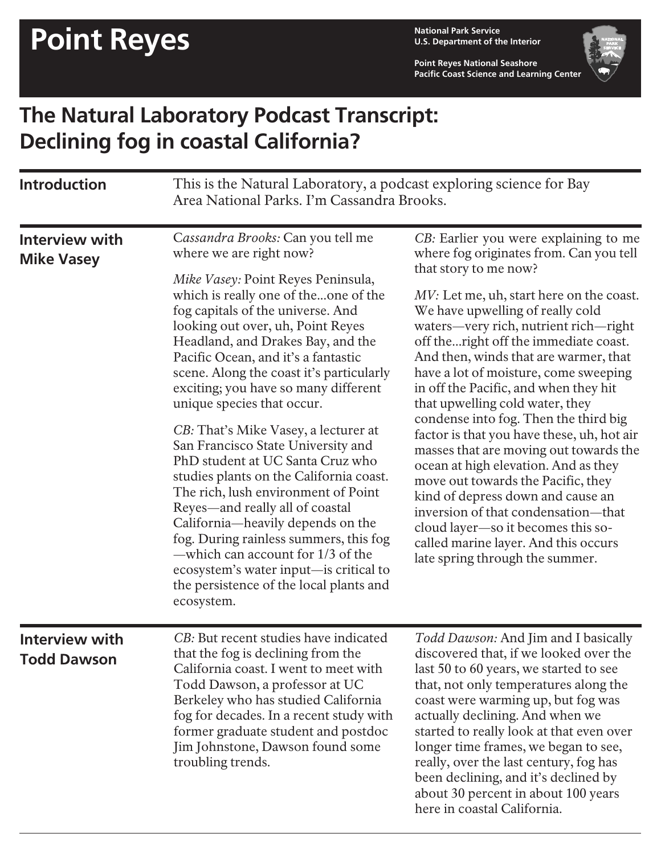**U.S. Department of the Interior**

**Point Reyes National Seashore Pacific Coast Science and Learning Center**



## **The Natural Laboratory Podcast Transcript: Declining fog in coastal California?**

| <b>Introduction</b>                         | This is the Natural Laboratory, a podcast exploring science for Bay<br>Area National Parks. I'm Cassandra Brooks.                                                                                                                                                                                                                                                                                                                                                                                                                                                                                                                                                                                                                                                                                                                                                                |                                                                                                                                                                                                                                                                                                                                                                                                                                                                                                                                                                                                                                                                                                                                                                                                                                                       |
|---------------------------------------------|----------------------------------------------------------------------------------------------------------------------------------------------------------------------------------------------------------------------------------------------------------------------------------------------------------------------------------------------------------------------------------------------------------------------------------------------------------------------------------------------------------------------------------------------------------------------------------------------------------------------------------------------------------------------------------------------------------------------------------------------------------------------------------------------------------------------------------------------------------------------------------|-------------------------------------------------------------------------------------------------------------------------------------------------------------------------------------------------------------------------------------------------------------------------------------------------------------------------------------------------------------------------------------------------------------------------------------------------------------------------------------------------------------------------------------------------------------------------------------------------------------------------------------------------------------------------------------------------------------------------------------------------------------------------------------------------------------------------------------------------------|
| <b>Interview with</b><br><b>Mike Vasey</b>  | Cassandra Brooks: Can you tell me<br>where we are right now?<br>Mike Vasey: Point Reyes Peninsula,<br>which is really one of theone of the<br>fog capitals of the universe. And<br>looking out over, uh, Point Reyes<br>Headland, and Drakes Bay, and the<br>Pacific Ocean, and it's a fantastic<br>scene. Along the coast it's particularly<br>exciting; you have so many different<br>unique species that occur.<br>CB: That's Mike Vasey, a lecturer at<br>San Francisco State University and<br>PhD student at UC Santa Cruz who<br>studies plants on the California coast.<br>The rich, lush environment of Point<br>Reyes-and really all of coastal<br>California-heavily depends on the<br>fog. During rainless summers, this fog<br>-which can account for 1/3 of the<br>ecosystem's water input—is critical to<br>the persistence of the local plants and<br>ecosystem. | CB: Earlier you were explaining to me<br>where fog originates from. Can you tell<br>that story to me now?<br>MV: Let me, uh, start here on the coast.<br>We have upwelling of really cold<br>waters-very rich, nutrient rich-right<br>off theright off the immediate coast.<br>And then, winds that are warmer, that<br>have a lot of moisture, come sweeping<br>in off the Pacific, and when they hit<br>that upwelling cold water, they<br>condense into fog. Then the third big<br>factor is that you have these, uh, hot air<br>masses that are moving out towards the<br>ocean at high elevation. And as they<br>move out towards the Pacific, they<br>kind of depress down and cause an<br>inversion of that condensation-that<br>cloud layer-so it becomes this so-<br>called marine layer. And this occurs<br>late spring through the summer. |
| <b>Interview with</b><br><b>Todd Dawson</b> | CB: But recent studies have indicated<br>that the fog is declining from the<br>California coast. I went to meet with<br>Todd Dawson, a professor at UC<br>Berkeley who has studied California<br>fog for decades. In a recent study with<br>former graduate student and postdoc<br>Jim Johnstone, Dawson found some<br>troubling trends.                                                                                                                                                                                                                                                                                                                                                                                                                                                                                                                                         | Todd Dawson: And Jim and I basically<br>discovered that, if we looked over the<br>last 50 to 60 years, we started to see<br>that, not only temperatures along the<br>coast were warming up, but fog was<br>actually declining. And when we<br>started to really look at that even over<br>longer time frames, we began to see,<br>really, over the last century, fog has<br>been declining, and it's declined by<br>about 30 percent in about 100 years<br>here in coastal California.                                                                                                                                                                                                                                                                                                                                                                |